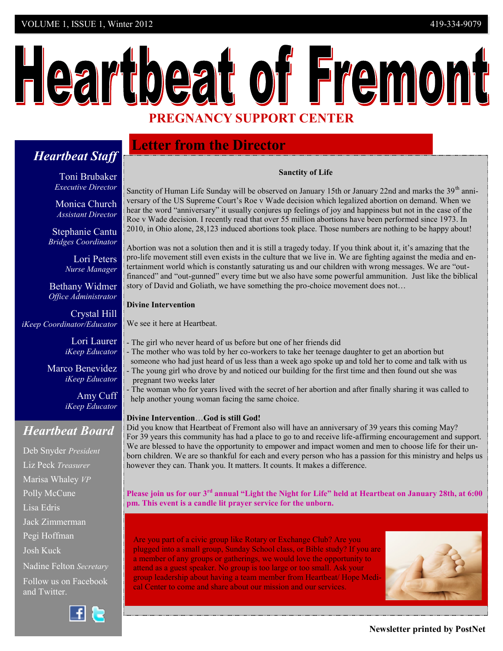#### VOLUME 1, ISSUE 1, Winter 2012 419-334-9079

# Heartbeat of Fremont **PREGNANCY SUPPORT CENTER**

# **Letter from the Director**

# Toni Brubaker

*Heartbeat Staff*

*Executive Director*

Monica Church *Assistant Director*

Stephanie Cantu  *Bridges Coordinator* 

> Lori Peters *Nurse Manager*

Bethany Widmer *Office Administrator*

Crystal Hill *iKeep Coordinator/Educator*

> Lori Laurer *iKeep Educator*

Marco Benevidez *iKeep Educator*

> Amy Cuff *iKeep Educator*

# *Heartbeat Board*

Deb Snyder *President* Liz Peck *Treasurer* Marisa Whaley *VP* Polly McCune Lisa Edris Jack Zimmerman Pegi Hoffman Josh Kuck Nadine Felton *Secretary* Follow us on Facebook and Twitter.



#### **Sanctity of Life**

Sanctity of Human Life Sunday will be observed on January 15th or January 22nd and marks the 39<sup>th</sup> anniversary of the US Supreme Court's Roe v Wade decision which legalized abortion on demand. When we hear the word "anniversary" it usually conjures up feelings of joy and happiness but not in the case of the Roe v Wade decision. I recently read that over 55 million abortions have been performed since 1973. In 2010, in Ohio alone, 28,123 induced abortions took place. Those numbers are nothing to be happy about!

Abortion was not a solution then and it is still a tragedy today. If you think about it, it's amazing that the pro-life movement still even exists in the culture that we live in. We are fighting against the media and entertainment world which is constantly saturating us and our children with wrong messages. We are "outfinanced" and "out-gunned" every time but we also have some powerful ammunition. Just like the biblical story of David and Goliath, we have something the pro-choice movement does not…

#### **Divine Intervention**

We see it here at Heartbeat.

- The girl who never heard of us before but one of her friends did
	- The mother who was told by her co-workers to take her teenage daughter to get an abortion but someone who had just heard of us less than a week ago spoke up and told her to come and talk with us
- The young girl who drove by and noticed our building for the first time and then found out she was pregnant two weeks later
- The woman who for years lived with the secret of her abortion and after finally sharing it was called to help another young woman facing the same choice.

#### **Divine Intervention**…**God is still God!**

Did you know that Heartbeat of Fremont also will have an anniversary of 39 years this coming May? For 39 years this community has had a place to go to and receive life-affirming encouragement and support. We are blessed to have the opportunity to empower and impact women and men to choose life for their unborn children. We are so thankful for each and every person who has a passion for this ministry and helps us however they can. Thank you. It matters. It counts. It makes a difference.

**Please join us for our 3rd annual "Light the Night for Life" held at Heartbeat on January 28th, at 6:00 pm. This event is a candle lit prayer service for the unborn.**

Are you part of a civic group like Rotary or Exchange Club? Are you plugged into a small group, Sunday School class, or Bible study? If you are a member of any groups or gatherings, we would love the opportunity to attend as a guest speaker. No group is too large or too small. Ask your group leadership about having a team member from Heartbeat/ Hope Medical Center to come and share about our mission and our services.

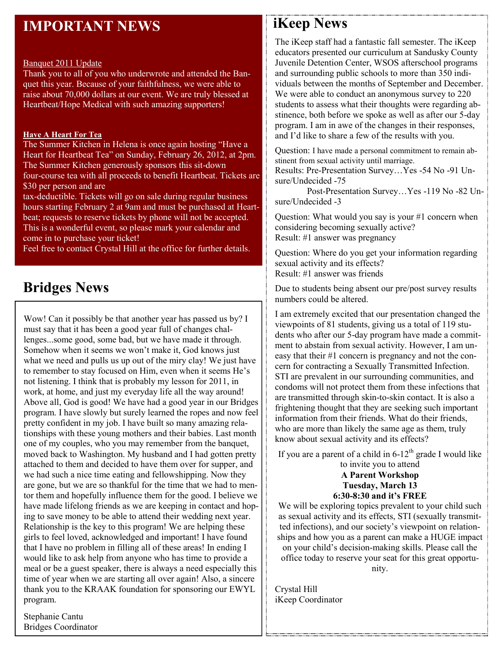# **IMPORTANT NEWS**

#### Banquet 2011 Update

Thank you to all of you who underwrote and attended the Banquet this year. Because of your faithfulness, we were able to raise about 70,000 dollars at our event. We are truly blessed at Heartbeat/Hope Medical with such amazing supporters!

#### **Have A Heart For Tea**

The Summer Kitchen in Helena is once again hosting "Have a Heart for Heartbeat Tea" on Sunday, February 26, 2012, at 2pm. The Summer Kitchen generously sponsors this sit-down four-course tea with all proceeds to benefit Heartbeat. Tickets are \$30 per person and are

tax-deductible. Tickets will go on sale during regular business hours starting February 2 at 9am and must be purchased at Heartbeat; requests to reserve tickets by phone will not be accepted. This is a wonderful event, so please mark your calendar and come in to purchase your ticket!

Feel free to contact Crystal Hill at the office for further details.

# **Bridges News**

Wow! Can it possibly be that another year has passed us by? I must say that it has been a good year full of changes challenges...some good, some bad, but we have made it through. Somehow when it seems we won't make it, God knows just what we need and pulls us up out of the miry clay! We just have to remember to stay focused on Him, even when it seems He's not listening. I think that is probably my lesson for 2011, in work, at home, and just my everyday life all the way around! Above all, God is good! We have had a good year in our Bridges program. I have slowly but surely learned the ropes and now feel pretty confident in my job. I have built so many amazing relationships with these young mothers and their babies. Last month one of my couples, who you may remember from the banquet, moved back to Washington. My husband and I had gotten pretty attached to them and decided to have them over for supper, and we had such a nice time eating and fellowshipping. Now they are gone, but we are so thankful for the time that we had to mentor them and hopefully influence them for the good. I believe we have made lifelong friends as we are keeping in contact and hoping to save money to be able to attend their wedding next year. Relationship is the key to this program! We are helping these girls to feel loved, acknowledged and important! I have found that I have no problem in filling all of these areas! In ending I would like to ask help from anyone who has time to provide a meal or be a guest speaker, there is always a need especially this time of year when we are starting all over again! Also, a sincere thank you to the KRAAK foundation for sponsoring our EWYL program.

Stephanie Cantu Bridges Coordinator

# **iKeep News**

The iKeep staff had a fantastic fall semester. The iKeep educators presented our curriculum at Sandusky County Juvenile Detention Center, WSOS afterschool programs and surrounding public schools to more than 350 individuals between the months of September and December. We were able to conduct an anonymous survey to 220 students to assess what their thoughts were regarding abstinence, both before we spoke as well as after our 5-day program. I am in awe of the changes in their responses, and I'd like to share a few of the results with you.

Question: I have made a personal commitment to remain abstinent from sexual activity until marriage.

Results: Pre-Presentation Survey…Yes -54 No -91 Unsure/Undecided -75

 Post-Presentation Survey…Yes -119 No -82 Unsure/Undecided -3

Question: What would you say is your #1 concern when considering becoming sexually active? Result: #1 answer was pregnancy

Question: Where do you get your information regarding sexual activity and its effects? Result: #1 answer was friends

Due to students being absent our pre/post survey results numbers could be altered.

I am extremely excited that our presentation changed the viewpoints of 81 students, giving us a total of 119 students who after our 5-day program have made a commitment to abstain from sexual activity. However, I am uneasy that their #1 concern is pregnancy and not the concern for contracting a Sexually Transmitted Infection. STI are prevalent in our surrounding communities, and condoms will not protect them from these infections that are transmitted through skin-to-skin contact. It is also a frightening thought that they are seeking such important information from their friends. What do their friends, who are more than likely the same age as them, truly know about sexual activity and its effects?

If you are a parent of a child in  $6-12^{th}$  grade I would like to invite you to attend **A Parent Workshop Tuesday, March 13 6:30-8:30 and it's FREE**

We will be exploring topics prevalent to your child such as sexual activity and its effects, STI (sexually transmitted infections), and our society's viewpoint on relationships and how you as a parent can make a HUGE impact on your child's decision-making skills. Please call the office today to reserve your seat for this great opportunity.

Crystal Hill iKeep Coordinator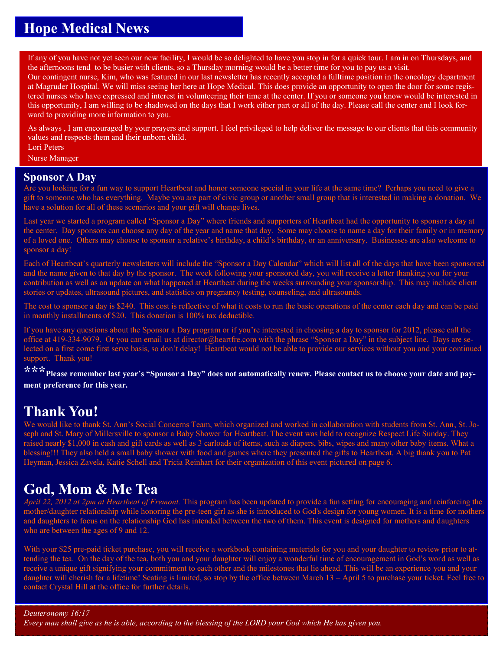# **Hope Medical News**

If any of you have not yet seen our new facility, I would be so delighted to have you stop in for a quick tour. I am in on Thursdays, and the afternoons tend to be busier with clients, so a Thursday morning would be a better time for you to pay us a visit.

Our contingent nurse, Kim, who was featured in our last newsletter has recently accepted a fulltime position in the oncology department at Magruder Hospital. We will miss seeing her here at Hope Medical. This does provide an opportunity to open the door for some registered nurses who have expressed and interest in volunteering their time at the center. If you or someone you know would be interested in this opportunity, I am willing to be shadowed on the days that I work either part or all of the day. Please call the center and I look forward to providing more information to you.

As always, I am encouraged by your prayers and support. I feel privileged to help deliver the message to our clients that this community values and respects them and their unborn child.

Lori Peters Nurse Manager

#### **Sponsor A Day**

Are you looking for a fun way to support Heartbeat and honor someone special in your life at the same time? Perhaps you need to give a gift to someone who has everything. Maybe you are part of civic group or another small group that is interested in making a donation. We have a solution for all of these scenarios and your gift will change lives.

Last year we started a program called "Sponsor a Day" where friends and supporters of Heartbeat had the opportunity to sponsor a day at the center. Day sponsors can choose any day of the year and name that day. Some may choose to name a day for their family or in memory of a loved one. Others may choose to sponsor a relative's birthday, a child's birthday, or an anniversary. Businesses are also welcome to sponsor a day!

Each of Heartbeat's quarterly newsletters will include the "Sponsor a Day Calendar" which will list all of the days that have been sponsored and the name given to that day by the sponsor. The week following your sponsored day, you will receive a letter thanking you for your contribution as well as an update on what happened at Heartbeat during the weeks surrounding your sponsorship. This may include client stories or updates, ultrasound pictures, and statistics on pregnancy testing, counseling, and ultrasounds.

The cost to sponsor a day is \$240. This cost is reflective of what it costs to run the basic operations of the center each day and can be paid in monthly installments of \$20. This donation is 100% tax deductible.

If you have any questions about the Sponsor a Day program or if you're interested in choosing a day to sponsor for 2012, please call the office at 419-334-9079. Or you can email us at [director@heartfre.com](mailto:director@heartfre.com) with the phrase "Sponsor a Day" in the subject line. Days are selected on a first come first serve basis, so don't delay! Heartbeat would not be able to provide our services without you and your continued support. Thank you!

**\*\*\*Please remember last year's "Sponsor a Day" does not automatically renew. Please contact us to choose your date and payment preference for this year.**

# **Thank You!**

We would like to thank St. Ann's Social Concerns Team, which organized and worked in collaboration with students from St. Ann, St. Joseph and St. Mary of Millersville to sponsor a Baby Shower for Heartbeat. The event was held to recognize Respect Life Sunday. They raised nearly \$1,000 in cash and gift cards as well as 3 carloads of items, such as diapers, bibs, wipes and many other baby items. What a blessing!!! They also held a small baby shower with food and games where they presented the gifts to Heartbeat. A big thank you to Pat Heyman, Jessica Zavela, Katie Schell and Tricia Reinhart for their organization of this event pictured on page 6.

# **God, Mom & Me Tea**

*April 22, 2012 at 2pm at Heartbeat of Fremont.* This program has been updated to provide a fun setting for encouraging and reinforcing the mother/daughter relationship while honoring the pre-teen girl as she is introduced to God's design for young women. It is a time for mothers and daughters to focus on the relationship God has intended between the two of them. This event is designed for mothers and daughters who are between the ages of 9 and 12.

With your \$25 pre-paid ticket purchase, you will receive a workbook containing materials for you and your daughter to review prior to attending the tea. On the day of the tea, both you and your daughter will enjoy a wonderful time of encouragement in God's word as well as receive a unique gift signifying your commitment to each other and the milestones that lie ahead. This will be an experience you and your daughter will cherish for a lifetime! Seating is limited, so stop by the office between March 13 – April 5 to purchase your ticket. Feel free to contact Crystal Hill at the office for further details.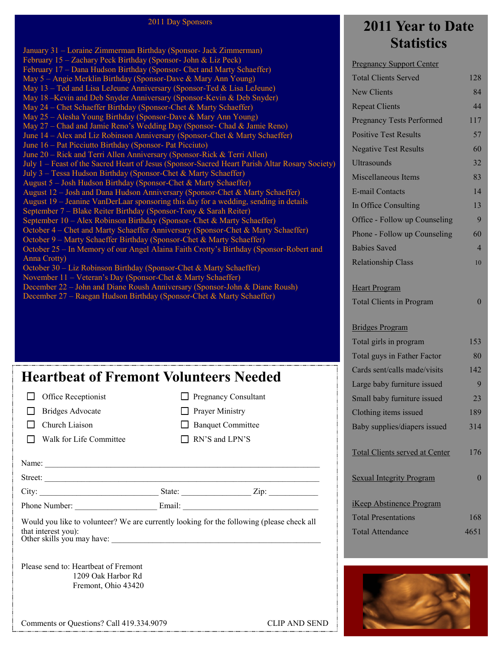#### 2011 Day Sponsors

January 31 – Loraine Zimmerman Birthday (Sponsor- Jack Zimmerman) February 15 – Zachary Peck Birthday (Sponsor- John & Liz Peck) February 17 – Dana Hudson Birthday (Sponsor- Chet and Marty Schaeffer) May 5 – Angie Merklin Birthday (Sponsor-Dave & Mary Ann Young) May 13 – Ted and Lisa LeJeune Anniversary (Sponsor-Ted & Lisa LeJeune) May 18 –Kevin and Deb Snyder Anniversary (Sponsor-Kevin & Deb Snyder) May 24 – Chet Schaeffer Birthday (Sponsor-Chet & Marty Schaeffer) May 25 – Alesha Young Birthday (Sponsor-Dave & Mary Ann Young) May 27 – Chad and Jamie Reno's Wedding Day (Sponsor- Chad & Jamie Reno) June 14 – Alex and Liz Robinson Anniversary (Sponsor-Chet & Marty Schaeffer) June 16 – Pat Picciutto Birthday (Sponsor- Pat Picciuto) June 20 – Rick and Terri Allen Anniversary (Sponsor-Rick & Terri Allen) July 1 – Feast of the Sacred Heart of Jesus (Sponsor-Sacred Heart Parish Altar Rosary Society) July 3 – Tessa Hudson Birthday (Sponsor-Chet & Marty Schaeffer) August 5 – Josh Hudson Birthday (Sponsor-Chet & Marty Schaeffer) August 12 – Josh and Dana Hudson Anniversary (Sponsor-Chet & Marty Schaeffer) August 19 – Jeanine VanDerLaar sponsoring this day for a wedding, sending in details September 7 – Blake Reiter Birthday (Sponsor-Tony & Sarah Reiter) September 10 – Alex Robinson Birthday (Sponsor- Chet & Marty Schaeffer) October 4 – Chet and Marty Schaeffer Anniversary (Sponsor-Chet & Marty Schaeffer) October 9 – Marty Schaeffer Birthday (Sponsor-Chet & Marty Schaeffer) October 25 – In Memory of our Angel Alaina Faith Crotty's Birthday (Sponsor-Robert and Anna Crotty) October 30 – Liz Robinson Birthday (Sponsor-Chet & Marty Schaeffer) November 11 – Veteran's Day (Sponsor-Chet & Marty Schaeffer) December 22 – John and Diane Roush Anniversary (Sponsor-John & Diane Roush) December 27 – Raegan Hudson Birthday (Sponsor-Chet & Marty Schaeffer)

# **Heartbeat of Fremont Volunteers Needed**

|                                                                                           |                             | Large papy furniture issued           |
|-------------------------------------------------------------------------------------------|-----------------------------|---------------------------------------|
| Office Receptionist                                                                       | <b>Pregnancy Consultant</b> | Small baby furniture issued           |
| <b>Bridges Advocate</b>                                                                   | Prayer Ministry             | Clothing items issued                 |
| Church Liaison                                                                            | <b>Banquet Committee</b>    | Baby supplies/diapers issued          |
| Walk for Life Committee                                                                   | RN'S and LPN'S              |                                       |
|                                                                                           |                             | <b>Total Clients served at Center</b> |
|                                                                                           |                             |                                       |
|                                                                                           | Street:                     | <b>Sexual Integrity Program</b>       |
|                                                                                           |                             |                                       |
|                                                                                           |                             | <b>iKeep Abstinence Program</b>       |
| Would you like to volunteer? We are currently looking for the following (please check all | <b>Total Presentations</b>  |                                       |
| that interest you):<br>Other skills you may have:                                         |                             | <b>Total Attendance</b>               |
|                                                                                           |                             |                                       |
| Please send to: Heartbeat of Fremont                                                      |                             |                                       |
| 1209 Oak Harbor Rd                                                                        |                             |                                       |

# **2011 Year to Date Statistics**

Pregnancy Support Center

| <b>Total Clients Served</b>           | 128            |
|---------------------------------------|----------------|
| <b>New Clients</b>                    | 84             |
| <b>Repeat Clients</b>                 | 44             |
| <b>Pregnancy Tests Performed</b>      | 117            |
| <b>Positive Test Results</b>          | 57             |
| <b>Negative Test Results</b>          | 60             |
| <b>Ultrasounds</b>                    | 32             |
| <b>Miscellaneous Items</b>            | 83             |
| <b>E-mail Contacts</b>                | 14             |
| In Office Consulting                  | 13             |
| Office - Follow up Counseling         | 9              |
| Phone - Follow up Counseling          | 60             |
| <b>Babies Saved</b>                   | $\overline{4}$ |
| <b>Relationship Class</b>             | 10             |
|                                       |                |
| <b>Heart Program</b>                  |                |
| <b>Total Clients in Program</b>       | $\mathbf{0}$   |
| <b>Bridges Program</b>                |                |
| Total girls in program                | 153            |
| Total guys in Father Factor           | 80             |
| Cards sent/calls made/visits          | 142            |
| Large baby furniture issued           | 9              |
| Small baby furniture issued           | 23             |
| Clothing items issued                 | 189            |
| Baby supplies/diapers issued          | 314            |
|                                       |                |
| <b>Total Clients served at Center</b> | 176            |
| <b>Sexual Integrity Program</b>       | $\mathbf{0}$   |
|                                       |                |
| <b>iKeep Abstinence Program</b>       |                |
| <b>Total Presentations</b>            | 168            |
| <b>Total Attendance</b>               | 4651           |
|                                       |                |



Comments or Questions? Call 419.334.9079 CLIP AND SEND

Fremont, Ohio 43420